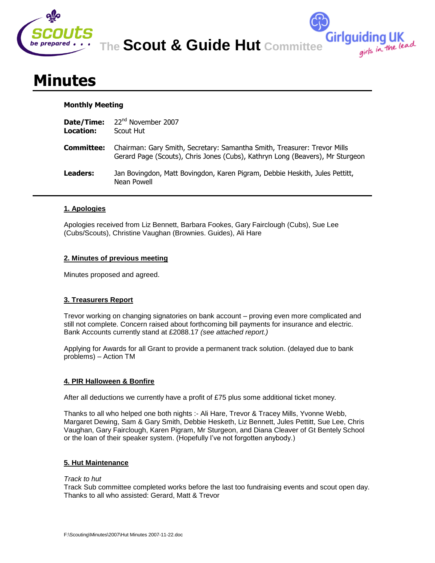

**The Scout & Guide Hut Committee**

Girlguiding UK<br>girls in the lead

# **Minutes**

## **Monthly Meeting**

| Date/Time:<br>Location: | 22 <sup>nd</sup> November 2007<br>Scout Hut                                                                                                               |
|-------------------------|-----------------------------------------------------------------------------------------------------------------------------------------------------------|
| Committee:              | Chairman: Gary Smith, Secretary: Samantha Smith, Treasurer: Trevor Mills<br>Gerard Page (Scouts), Chris Jones (Cubs), Kathryn Long (Beavers), Mr Sturgeon |
| <b>Leaders:</b>         | Jan Bovingdon, Matt Bovingdon, Karen Pigram, Debbie Heskith, Jules Pettitt,<br>Nean Powell                                                                |

## **1. Apologies**

Apologies received from Liz Bennett, Barbara Fookes, Gary Fairclough (Cubs), Sue Lee (Cubs/Scouts), Christine Vaughan (Brownies. Guides), Ali Hare

## **2. Minutes of previous meeting**

Minutes proposed and agreed.

## **3. Treasurers Report**

Trevor working on changing signatories on bank account – proving even more complicated and still not complete. Concern raised about forthcoming bill payments for insurance and electric. Bank Accounts currently stand at £2088.17 *(see attached report.)*

Applying for Awards for all Grant to provide a permanent track solution. (delayed due to bank problems) – Action TM

## **4. PIR Halloween & Bonfire**

After all deductions we currently have a profit of £75 plus some additional ticket money.

Thanks to all who helped one both nights :- Ali Hare, Trevor & Tracey Mills, Yvonne Webb, Margaret Dewing, Sam & Gary Smith, Debbie Hesketh, Liz Bennett, Jules Pettitt, Sue Lee, Chris Vaughan, Gary Fairclough, Karen Pigram, Mr Sturgeon, and Diana Cleaver of Gt Bentely School or the loan of their speaker system. (Hopefully I've not forgotten anybody.)

## **5. Hut Maintenance**

## *Track to hut*

Track Sub committee completed works before the last too fundraising events and scout open day. Thanks to all who assisted: Gerard, Matt & Trevor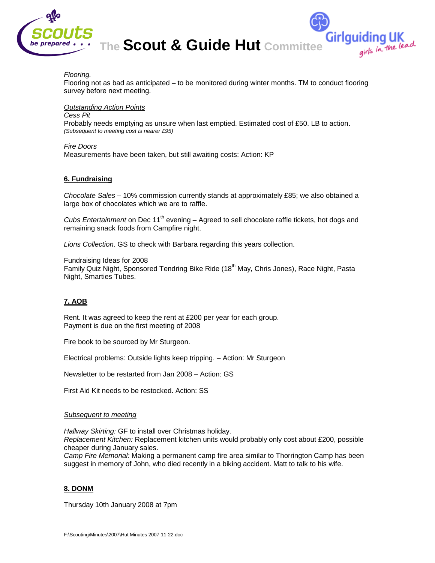

*Flooring.*  Flooring not as bad as anticipated – to be monitored during winter months. TM to conduct flooring survey before next meeting.

*Outstanding Action Points Cess Pit* Probably needs emptying as unsure when last emptied. Estimated cost of £50. LB to action. *(Subsequent to meeting cost is nearer £95)*

*Fire Doors* Measurements have been taken, but still awaiting costs: Action: KP

## **6. Fundraising**

*Chocolate Sales* – 10% commission currently stands at approximately £85; we also obtained a large box of chocolates which we are to raffle.

*Cubs Entertainment* on Dec 11<sup>th</sup> evening – Agreed to sell chocolate raffle tickets, hot dogs and remaining snack foods from Campfire night.

*Lions Collection*. GS to check with Barbara regarding this years collection.

Fundraising Ideas for 2008

Family Quiz Night, Sponsored Tendring Bike Ride (18<sup>th</sup> May, Chris Jones), Race Night, Pasta Night, Smarties Tubes.

## **7. AOB**

Rent. It was agreed to keep the rent at £200 per year for each group. Payment is due on the first meeting of 2008

Fire book to be sourced by Mr Sturgeon.

Electrical problems: Outside lights keep tripping. – Action: Mr Sturgeon

Newsletter to be restarted from Jan 2008 – Action: GS

First Aid Kit needs to be restocked. Action: SS

#### *Subsequent to meeting*

*Hallway Skirting:* GF to install over Christmas holiday. *Replacement Kitchen:* Replacement kitchen units would probably only cost about £200, possible

cheaper during January sales.

*Camp Fire Memorial:* Making a permanent camp fire area similar to Thorrington Camp has been suggest in memory of John, who died recently in a biking accident. Matt to talk to his wife.

## **8. DONM**

Thursday 10th January 2008 at 7pm